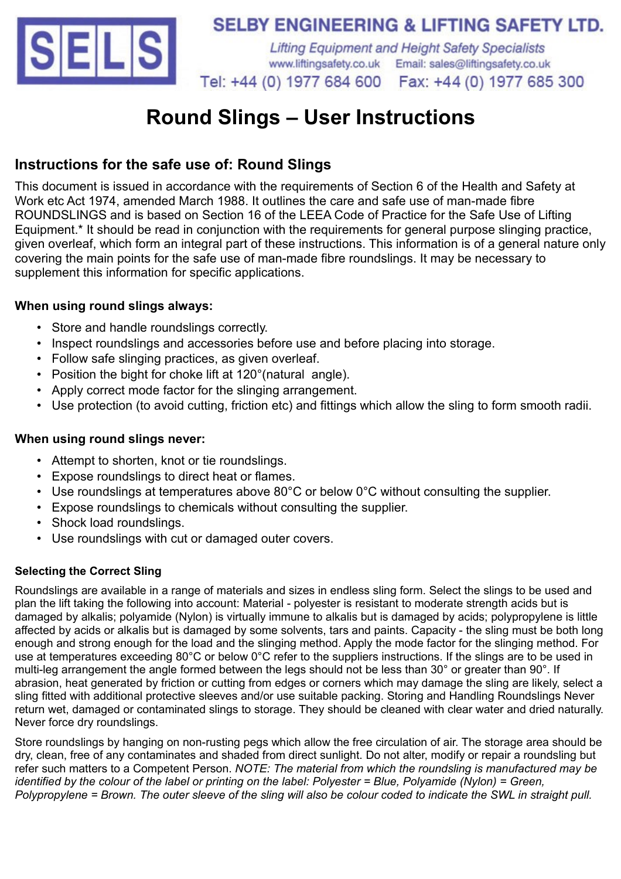

## **SELBY ENGINEERING & LIFTING SAFETY LTD.**

**Lifting Equipment and Height Safety Specialists** www.liftingsafety.co.uk Email: sales@liftingsafety.co.uk Tel: +44 (0) 1977 684 600 Fax: +44 (0) 1977 685 300

# **Round Slings – User Instructions**

## **Instructions for the safe use of: Round Slings**

This document is issued in accordance with the requirements of Section 6 of the Health and Safety at Work etc Act 1974, amended March 1988. It outlines the care and safe use of man-made fibre ROUNDSLINGS and is based on Section 16 of the LEEA Code of Practice for the Safe Use of Lifting Equipment.\* It should be read in conjunction with the requirements for general purpose slinging practice, given overleaf, which form an integral part of these instructions. This information is of a general nature only covering the main points for the safe use of man-made fibre roundslings. It may be necessary to supplement this information for specific applications.

#### **When using round slings always:**

- Store and handle roundslings correctly.
- Inspect roundslings and accessories before use and before placing into storage.
- Follow safe slinging practices, as given overleaf.
- Position the bight for choke lift at 120°(natural angle).
- Apply correct mode factor for the slinging arrangement.
- Use protection (to avoid cutting, friction etc) and fittings which allow the sling to form smooth radii.

#### **When using round slings never:**

- Attempt to shorten, knot or tie roundslings.
- Expose roundslings to direct heat or flames.
- Use roundslings at temperatures above 80°C or below 0°C without consulting the supplier.
- Expose roundslings to chemicals without consulting the supplier.
- Shock load roundslings.
- Use roundslings with cut or damaged outer covers.

#### **Selecting the Correct Sling**

Roundslings are available in a range of materials and sizes in endless sling form. Select the slings to be used and plan the lift taking the following into account: Material - polyester is resistant to moderate strength acids but is damaged by alkalis; polyamide (Nylon) is virtually immune to alkalis but is damaged by acids; polypropylene is little affected by acids or alkalis but is damaged by some solvents, tars and paints. Capacity - the sling must be both long enough and strong enough for the load and the slinging method. Apply the mode factor for the slinging method. For use at temperatures exceeding 80°C or below 0°C refer to the suppliers instructions. If the slings are to be used in multi-leg arrangement the angle formed between the legs should not be less than 30° or greater than 90°. If abrasion, heat generated by friction or cutting from edges or corners which may damage the sling are likely, select a sling fitted with additional protective sleeves and/or use suitable packing. Storing and Handling Roundslings Never return wet, damaged or contaminated slings to storage. They should be cleaned with clear water and dried naturally. Never force dry roundslings.

Store roundslings by hanging on non-rusting pegs which allow the free circulation of air. The storage area should be dry, clean, free of any contaminates and shaded from direct sunlight. Do not alter, modify or repair a roundsling but refer such matters to a Competent Person. *NOTE: The material from which the roundsling is manufactured may be identified by the colour of the label or printing on the label: Polyester = Blue, Polyamide (Nylon) = Green, Polypropylene = Brown. The outer sleeve of the sling will also be colour coded to indicate the SWL in straight pull.*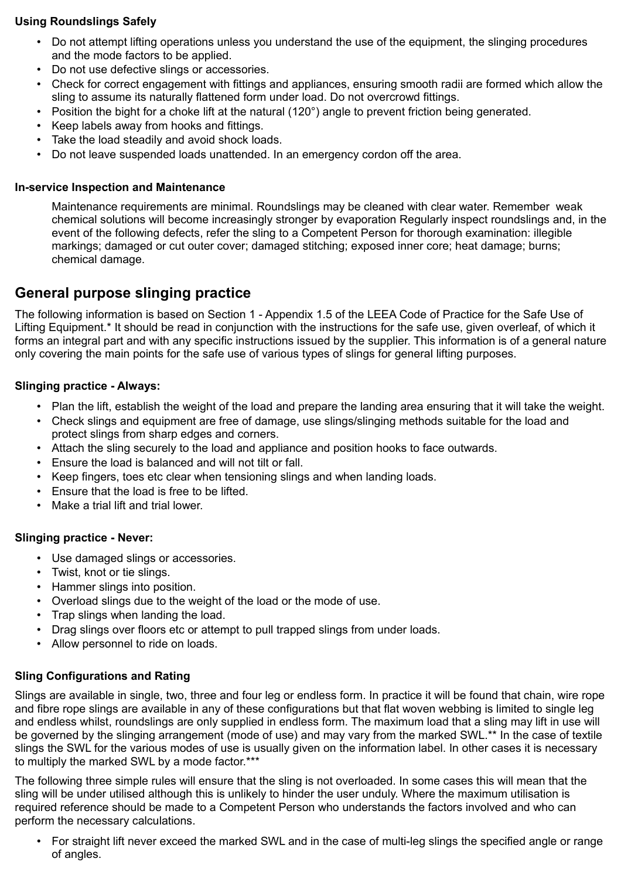#### **Using Roundslings Safely**

- Do not attempt lifting operations unless you understand the use of the equipment, the slinging procedures and the mode factors to be applied.
- Do not use defective slings or accessories.
- Check for correct engagement with fittings and appliances, ensuring smooth radii are formed which allow the sling to assume its naturally flattened form under load. Do not overcrowd fittings.
- Position the bight for a choke lift at the natural (120°) angle to prevent friction being generated.
- Keep labels away from hooks and fittings.
- Take the load steadily and avoid shock loads.
- Do not leave suspended loads unattended. In an emergency cordon off the area.

#### **In-service Inspection and Maintenance**

Maintenance requirements are minimal. Roundslings may be cleaned with clear water. Remember weak chemical solutions will become increasingly stronger by evaporation Regularly inspect roundslings and, in the event of the following defects, refer the sling to a Competent Person for thorough examination: illegible markings; damaged or cut outer cover; damaged stitching; exposed inner core; heat damage; burns; chemical damage.

### **General purpose slinging practice**

The following information is based on Section 1 - Appendix 1.5 of the LEEA Code of Practice for the Safe Use of Lifting Equipment.\* It should be read in conjunction with the instructions for the safe use, given overleaf, of which it forms an integral part and with any specific instructions issued by the supplier. This information is of a general nature only covering the main points for the safe use of various types of slings for general lifting purposes.

#### **Slinging practice - Always:**

- Plan the lift, establish the weight of the load and prepare the landing area ensuring that it will take the weight.
- Check slings and equipment are free of damage, use slings/slinging methods suitable for the load and protect slings from sharp edges and corners.
- Attach the sling securely to the load and appliance and position hooks to face outwards.
- Ensure the load is balanced and will not tilt or fall.
- Keep fingers, toes etc clear when tensioning slings and when landing loads.
- Ensure that the load is free to be lifted.
- Make a trial lift and trial lower.

#### **Slinging practice - Never:**

- Use damaged slings or accessories.
- Twist, knot or tie slings.
- Hammer slings into position.
- Overload slings due to the weight of the load or the mode of use.
- Trap slings when landing the load.
- Drag slings over floors etc or attempt to pull trapped slings from under loads.
- Allow personnel to ride on loads.

#### **Sling Configurations and Rating**

Slings are available in single, two, three and four leg or endless form. In practice it will be found that chain, wire rope and fibre rope slings are available in any of these configurations but that flat woven webbing is limited to single leg and endless whilst, roundslings are only supplied in endless form. The maximum load that a sling may lift in use will be governed by the slinging arrangement (mode of use) and may vary from the marked SWL.\*\* In the case of textile slings the SWL for the various modes of use is usually given on the information label. In other cases it is necessary to multiply the marked SWL by a mode factor.\*\*\*

The following three simple rules will ensure that the sling is not overloaded. In some cases this will mean that the sling will be under utilised although this is unlikely to hinder the user unduly. Where the maximum utilisation is required reference should be made to a Competent Person who understands the factors involved and who can perform the necessary calculations.

• For straight lift never exceed the marked SWL and in the case of multi-leg slings the specified angle or range of angles.